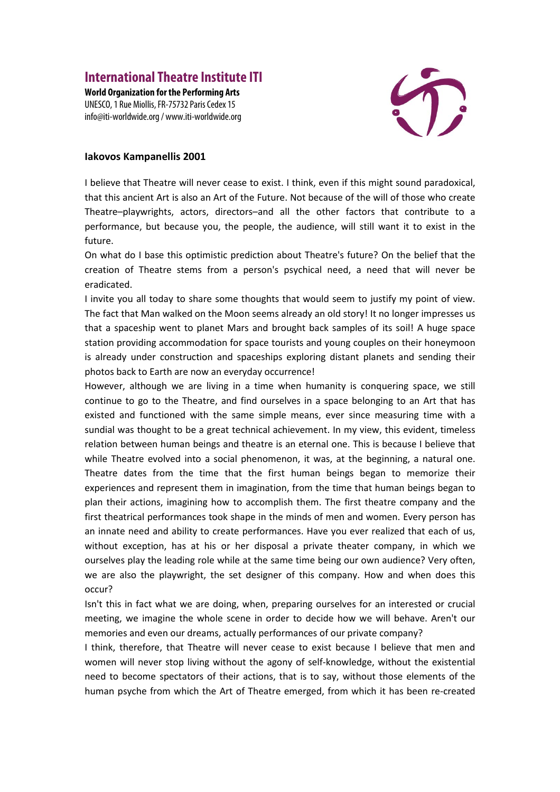## **International Theatre Institute ITI**

**World Organization for the Performing Arts**  UNESCO, 1 Rue Miollis, FR-75732 Paris Cedex 15 info@iti-worldwide.org / www.iti-worldwide.org



## **Iakovos Kampanellis 2001**

I believe that Theatre will never cease to exist. I think, even if this might sound paradoxical, that this ancient Art is also an Art of the Future. Not because of the will of those who create Theatre–playwrights, actors, directors–and all the other factors that contribute to a performance, but because you, the people, the audience, will still want it to exist in the future.

On what do I base this optimistic prediction about Theatre's future? On the belief that the creation of Theatre stems from a person's psychical need, a need that will never be eradicated.

I invite you all today to share some thoughts that would seem to justify my point of view. The fact that Man walked on the Moon seems already an old story! It no longer impresses us that a spaceship went to planet Mars and brought back samples of its soil! A huge space station providing accommodation for space tourists and young couples on their honeymoon is already under construction and spaceships exploring distant planets and sending their photos back to Earth are now an everyday occurrence!

However, although we are living in a time when humanity is conquering space, we still continue to go to the Theatre, and find ourselves in a space belonging to an Art that has existed and functioned with the same simple means, ever since measuring time with a sundial was thought to be a great technical achievement. In my view, this evident, timeless relation between human beings and theatre is an eternal one. This is because I believe that while Theatre evolved into a social phenomenon, it was, at the beginning, a natural one. Theatre dates from the time that the first human beings began to memorize their experiences and represent them in imagination, from the time that human beings began to plan their actions, imagining how to accomplish them. The first theatre company and the first theatrical performances took shape in the minds of men and women. Every person has an innate need and ability to create performances. Have you ever realized that each of us, without exception, has at his or her disposal a private theater company, in which we ourselves play the leading role while at the same time being our own audience? Very often, we are also the playwright, the set designer of this company. How and when does this occur?

Isn't this in fact what we are doing, when, preparing ourselves for an interested or crucial meeting, we imagine the whole scene in order to decide how we will behave. Aren't our memories and even our dreams, actually performances of our private company?

I think, therefore, that Theatre will never cease to exist because I believe that men and women will never stop living without the agony of self-knowledge, without the existential need to become spectators of their actions, that is to say, without those elements of the human psyche from which the Art of Theatre emerged, from which it has been re-created